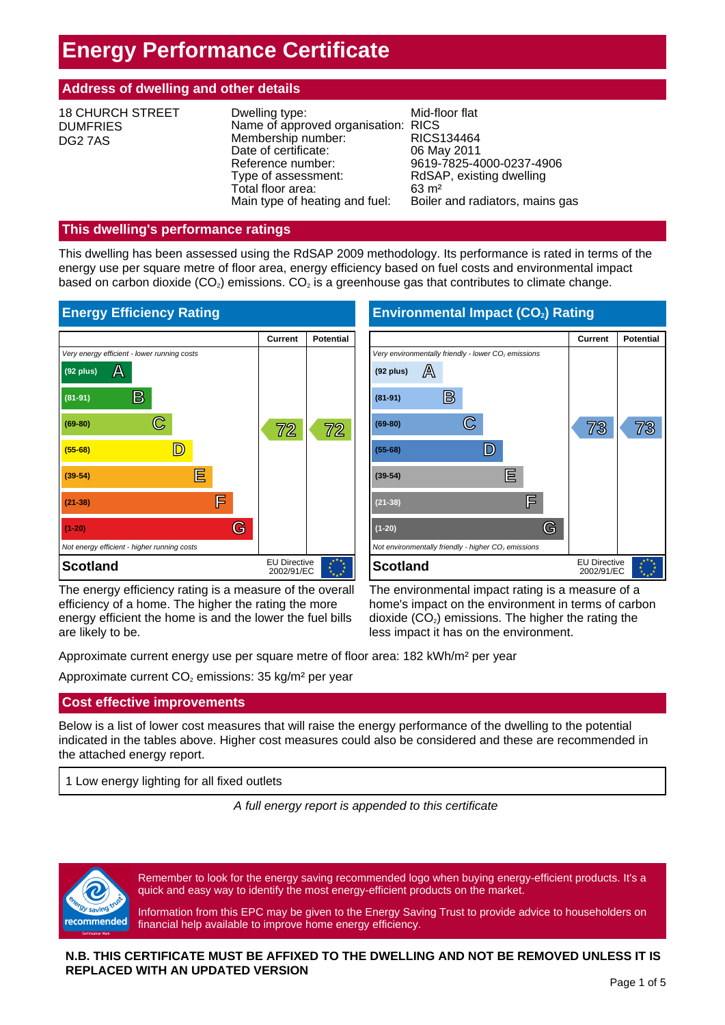# **Energy Performance Certificate**

# **Address of dwelling and other details**

| <b>18 CHURCH STREET</b><br><b>DUMFRIES</b><br>DG2 7AS | Dwelling type:<br>Name of approved organisation: RICS<br>Membership number:<br>Date of certificate:<br>Reference number:<br>Type of assessment:<br>Total floor area:<br>Main type of heating and fuel: | Mid-floor flat<br>RICS134464<br>06 May 2011<br>9619-7825-4000-0237-4906<br>RdSAP, existing dwelling<br>$63 \text{ m}^2$<br>Boiler and radiators, mains gas |
|-------------------------------------------------------|--------------------------------------------------------------------------------------------------------------------------------------------------------------------------------------------------------|------------------------------------------------------------------------------------------------------------------------------------------------------------|
|-------------------------------------------------------|--------------------------------------------------------------------------------------------------------------------------------------------------------------------------------------------------------|------------------------------------------------------------------------------------------------------------------------------------------------------------|

# **This dwelling's performance ratings**

This dwelling has been assessed using the RdSAP 2009 methodology. Its performance is rated in terms of the energy use per square metre of floor area, energy efficiency based on fuel costs and environmental impact based on carbon dioxide  $(CO_2)$  emissions.  $CO_2$  is a greenhouse gas that contributes to climate change.



The energy efficiency rating is a measure of the overall efficiency of a home. The higher the rating the more energy efficient the home is and the lower the fuel bills are likely to be.

The environmental impact rating is a measure of a home's impact on the environment in terms of carbon dioxide  $(CO<sub>2</sub>)$  emissions. The higher the rating the less impact it has on the environment.

Approximate current energy use per square metre of floor area: 182 kWh/m² per year

Approximate current  $CO<sub>2</sub>$  emissions: 35 kg/m<sup>2</sup> per year

# **Cost effective improvements**

Below is a list of lower cost measures that will raise the energy performance of the dwelling to the potential indicated in the tables above. Higher cost measures could also be considered and these are recommended in the attached energy report.

1 Low energy lighting for all fixed outlets

*A full energy report is appended to this certificate*



Remember to look for the energy saving recommended logo when buying energy-efficient products. It's a quick and easy way to identify the most energy-efficient products on the market.

Information from this EPC may be given to the Energy Saving Trust to provide advice to householders on financial help available to improve home energy efficiency.

# **N.B. THIS CERTIFICATE MUST BE AFFIXED TO THE DWELLING AND NOT BE REMOVED UNLESS IT IS REPLACED WITH AN UPDATED VERSION**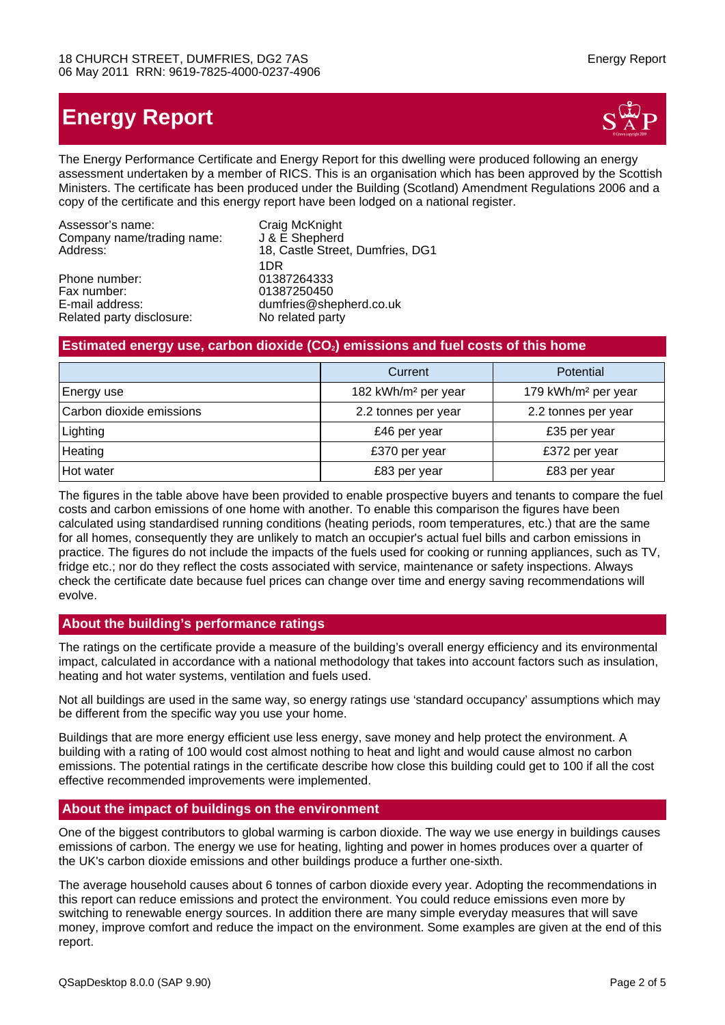# **Energy Report**



The Energy Performance Certificate and Energy Report for this dwelling were produced following an energy assessment undertaken by a member of RICS. This is an organisation which has been approved by the Scottish Ministers. The certificate has been produced under the Building (Scotland) Amendment Regulations 2006 and a copy of the certificate and this energy report have been lodged on a national register.

| Assessor's name:           | Craig McKnight                   |
|----------------------------|----------------------------------|
| Company name/trading name: | J & E Shepherd                   |
| Address:                   | 18, Castle Street, Dumfries, DG1 |
|                            | 1DR                              |
| Phone number:              | 01387264333                      |
| Fax number:                | 01387250450                      |
| E-mail address:            | dumfries@shepherd.co.uk          |
| Related party disclosure:  | No related party                 |
|                            |                                  |

# **Estimated energy use, carbon dioxide (CO2) emissions and fuel costs of this home**

|                          | Current                         | Potential                       |
|--------------------------|---------------------------------|---------------------------------|
| Energy use               | 182 kWh/m <sup>2</sup> per year | 179 kWh/m <sup>2</sup> per year |
| Carbon dioxide emissions | 2.2 tonnes per year             | 2.2 tonnes per year             |
| Lighting                 | £46 per year                    | £35 per year                    |
| Heating                  | £370 per year                   | £372 per year                   |
| Hot water                | £83 per year                    | £83 per year                    |

The figures in the table above have been provided to enable prospective buyers and tenants to compare the fuel costs and carbon emissions of one home with another. To enable this comparison the figures have been calculated using standardised running conditions (heating periods, room temperatures, etc.) that are the same for all homes, consequently they are unlikely to match an occupier's actual fuel bills and carbon emissions in practice. The figures do not include the impacts of the fuels used for cooking or running appliances, such as TV, fridge etc.; nor do they reflect the costs associated with service, maintenance or safety inspections. Always check the certificate date because fuel prices can change over time and energy saving recommendations will evolve.

# **About the building's performance ratings**

The ratings on the certificate provide a measure of the building's overall energy efficiency and its environmental impact, calculated in accordance with a national methodology that takes into account factors such as insulation, heating and hot water systems, ventilation and fuels used.

Not all buildings are used in the same way, so energy ratings use 'standard occupancy' assumptions which may be different from the specific way you use your home.

Buildings that are more energy efficient use less energy, save money and help protect the environment. A building with a rating of 100 would cost almost nothing to heat and light and would cause almost no carbon emissions. The potential ratings in the certificate describe how close this building could get to 100 if all the cost effective recommended improvements were implemented.

# **About the impact of buildings on the environment**

One of the biggest contributors to global warming is carbon dioxide. The way we use energy in buildings causes emissions of carbon. The energy we use for heating, lighting and power in homes produces over a quarter of the UK's carbon dioxide emissions and other buildings produce a further one-sixth.

The average household causes about 6 tonnes of carbon dioxide every year. Adopting the recommendations in this report can reduce emissions and protect the environment. You could reduce emissions even more by switching to renewable energy sources. In addition there are many simple everyday measures that will save money, improve comfort and reduce the impact on the environment. Some examples are given at the end of this report.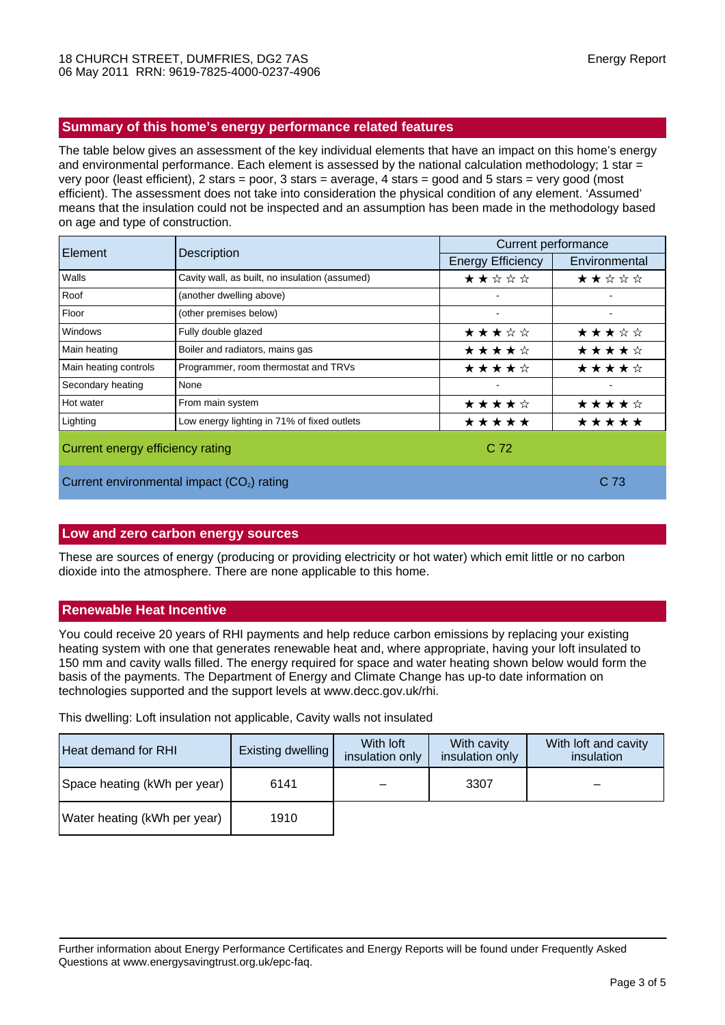# **Summary of this home's energy performance related features**

The table below gives an assessment of the key individual elements that have an impact on this home's energy and environmental performance. Each element is assessed by the national calculation methodology; 1 star = very poor (least efficient), 2 stars = poor, 3 stars = average, 4 stars = good and 5 stars = very good (most efficient). The assessment does not take into consideration the physical condition of any element. 'Assumed' means that the insulation could not be inspected and an assumption has been made in the methodology based on age and type of construction.

| Element                                                | Description                                    | <b>Current performance</b> |               |  |
|--------------------------------------------------------|------------------------------------------------|----------------------------|---------------|--|
|                                                        |                                                | <b>Energy Efficiency</b>   | Environmental |  |
| Walls                                                  | Cavity wall, as built, no insulation (assumed) | ★★☆☆☆                      | ★★☆☆☆         |  |
| Roof                                                   | (another dwelling above)                       |                            |               |  |
| Floor                                                  | (other premises below)                         |                            |               |  |
| Windows                                                | Fully double glazed                            | ★★★☆☆                      | ★★★☆☆         |  |
| Main heating                                           | Boiler and radiators, mains gas                | ★★★★☆                      | ★★★★☆         |  |
| Main heating controls                                  | Programmer, room thermostat and TRVs           | ★★★★☆                      | ★★★★☆         |  |
| Secondary heating                                      | None                                           |                            |               |  |
| Hot water                                              | From main system                               | ★★★★☆                      | ★★★★☆         |  |
| Lighting                                               | Low energy lighting in 71% of fixed outlets    | *****                      | *****         |  |
| Current energy efficiency rating                       |                                                | C <sub>72</sub>            |               |  |
| Current environmental impact (CO <sub>2</sub> ) rating |                                                |                            | C 73          |  |

#### **Low and zero carbon energy sources**

These are sources of energy (producing or providing electricity or hot water) which emit little or no carbon dioxide into the atmosphere. There are none applicable to this home.

#### **Renewable Heat Incentive**

You could receive 20 years of RHI payments and help reduce carbon emissions by replacing your existing heating system with one that generates renewable heat and, where appropriate, having your loft insulated to 150 mm and cavity walls filled. The energy required for space and water heating shown below would form the basis of the payments. The Department of Energy and Climate Change has up-to date information on technologies supported and the support levels at www.decc.gov.uk/rhi.

This dwelling: Loft insulation not applicable, Cavity walls not insulated

| <b>Heat demand for RHI</b>   | Existing dwelling | With <b>loft</b><br>insulation only | With cavity<br>insulation only | With loft and cavity<br>insulation |
|------------------------------|-------------------|-------------------------------------|--------------------------------|------------------------------------|
| Space heating (kWh per year) | 6141              |                                     | 3307                           |                                    |
| Water heating (kWh per year) | 1910              |                                     |                                |                                    |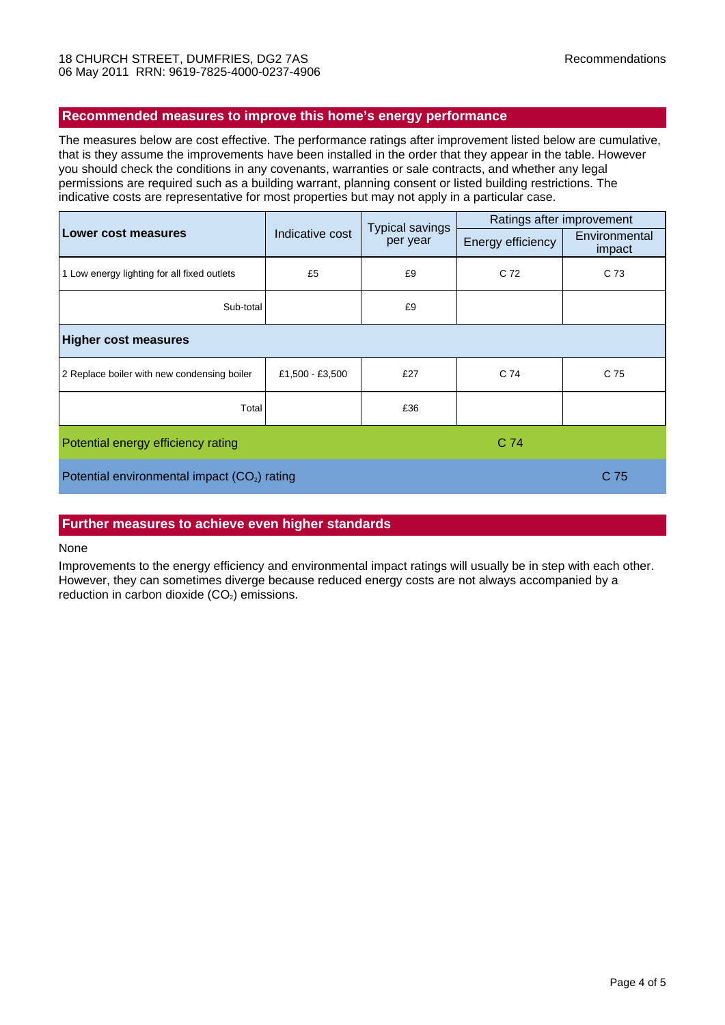### **Recommended measures to improve this home's energy performance**

The measures below are cost effective. The performance ratings after improvement listed below are cumulative, that is they assume the improvements have been installed in the order that they appear in the table. However you should check the conditions in any covenants, warranties or sale contracts, and whether any legal permissions are required such as a building warrant, planning consent or listed building restrictions. The indicative costs are representative for most properties but may not apply in a particular case.

|                                                          | Indicative cost | <b>Typical savings</b><br>per year | Ratings after improvement |                         |  |
|----------------------------------------------------------|-----------------|------------------------------------|---------------------------|-------------------------|--|
| <b>Lower cost measures</b>                               |                 |                                    | Energy efficiency         | Environmental<br>impact |  |
| 1 Low energy lighting for all fixed outlets              | £5              | £9                                 | C 72                      | C 73                    |  |
| Sub-total                                                |                 | £9                                 |                           |                         |  |
| <b>Higher cost measures</b>                              |                 |                                    |                           |                         |  |
| 2 Replace boiler with new condensing boiler              | £1,500 - £3,500 | £27                                | C 74                      | C 75                    |  |
| Total                                                    |                 | £36                                |                           |                         |  |
| C 74<br>Potential energy efficiency rating               |                 |                                    |                           |                         |  |
| Potential environmental impact (CO <sub>2</sub> ) rating |                 |                                    |                           | C <sub>75</sub>         |  |

#### **Further measures to achieve even higher standards**

#### None

Improvements to the energy efficiency and environmental impact ratings will usually be in step with each other. However, they can sometimes diverge because reduced energy costs are not always accompanied by a reduction in carbon dioxide  $(CO<sub>2</sub>)$  emissions.